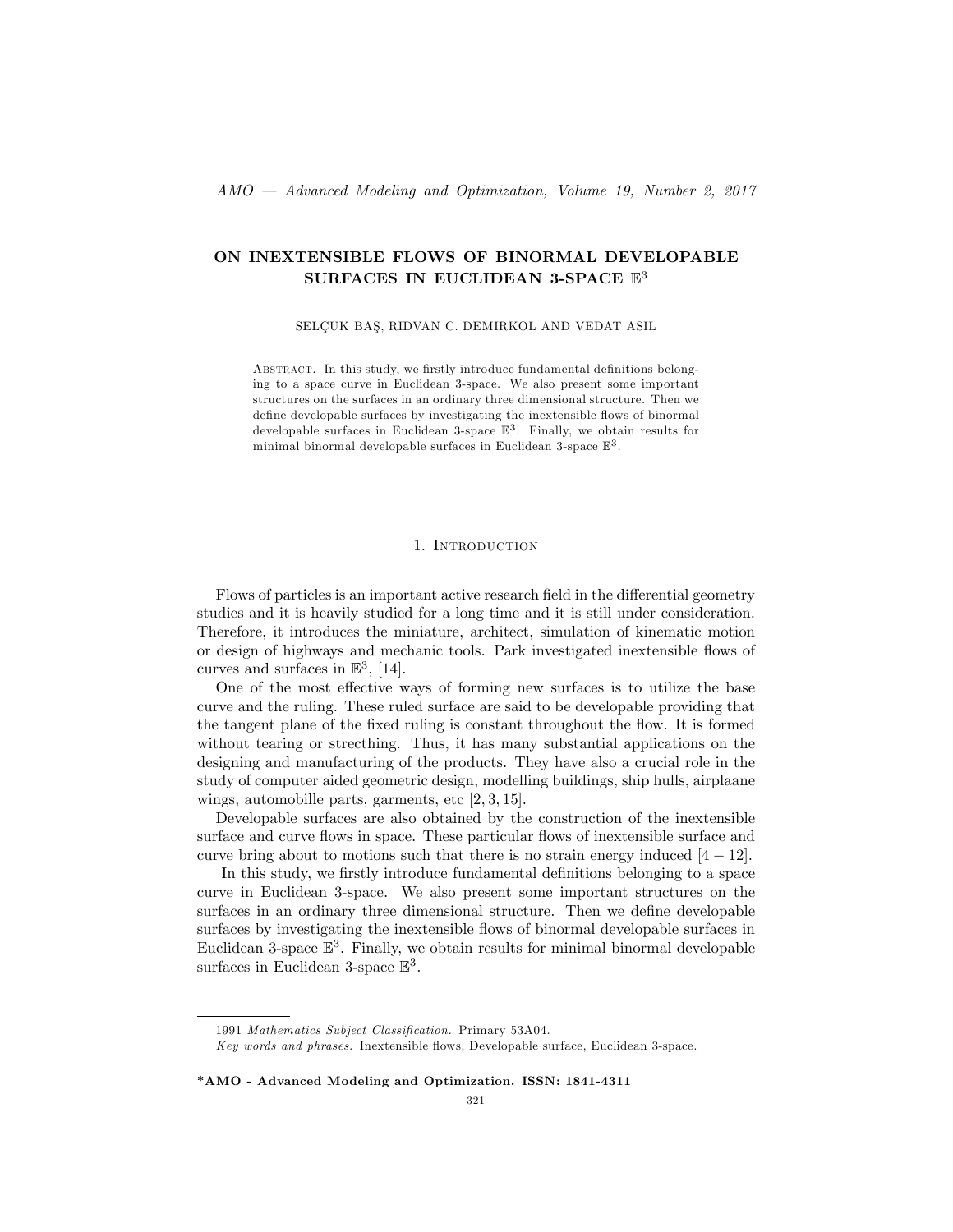# ON INEXTENSIBLE FLOWS OF BINORMAL DEVELOPABLE SURFACES IN EUCLIDEAN 3-SPACE  $\mathbb{E}^3$

## SELÇUK BAŞ, RIDVAN C. DEMIRKOL AND VEDAT ASIL

ABSTRACT. In this study, we firstly introduce fundamental definitions belonging to a space curve in Euclidean 3-space. We also present some important structures on the surfaces in an ordinary three dimensional structure. Then we define developable surfaces by investigating the inextensible flows of binormal developable surfaces in Euclidean 3-space  $\mathbb{E}^3$ . Finally, we obtain results for minimal binormal developable surfaces in Euclidean 3-space E 3 .

#### 1. Introduction

Flows of particles is an important active research field in the differential geometry studies and it is heavily studied for a long time and it is still under consideration. Therefore, it introduces the miniature, architect, simulation of kinematic motion or design of highways and mechanic tools. Park investigated inextensible flows of curves and surfaces in  $\mathbb{E}^3$ , [14].

One of the most effective ways of forming new surfaces is to utilize the base curve and the ruling. These ruled surface are said to be developable providing that the tangent plane of the fixed ruling is constant throughout the flow. It is formed without tearing or strecthing. Thus, it has many substantial applications on the designing and manufacturing of the products. They have also a crucial role in the study of computer aided geometric design, modelling buildings, ship hulls, airplaane wings, automobille parts, garments, etc  $[2, 3, 15]$ .

Developable surfaces are also obtained by the construction of the inextensible surface and curve flows in space. These particular flows of inextensible surface and curve bring about to motions such that there is no strain energy induced  $[4 - 12]$ .

In this study, we firstly introduce fundamental definitions belonging to a space curve in Euclidean 3-space. We also present some important structures on the surfaces in an ordinary three dimensional structure. Then we define developable surfaces by investigating the inextensible flows of binormal developable surfaces in Euclidean 3-space  $\mathbb{E}^3$ . Finally, we obtain results for minimal binormal developable surfaces in Euclidean 3-space  $\mathbb{E}^3$ .

\*AMO - Advanced Modeling and Optimization. ISSN: 1841-4311

<sup>1991</sup> Mathematics Subject Classification. Primary 53A04.

Key words and phrases. Inextensible áows, Developable surface, Euclidean 3-space.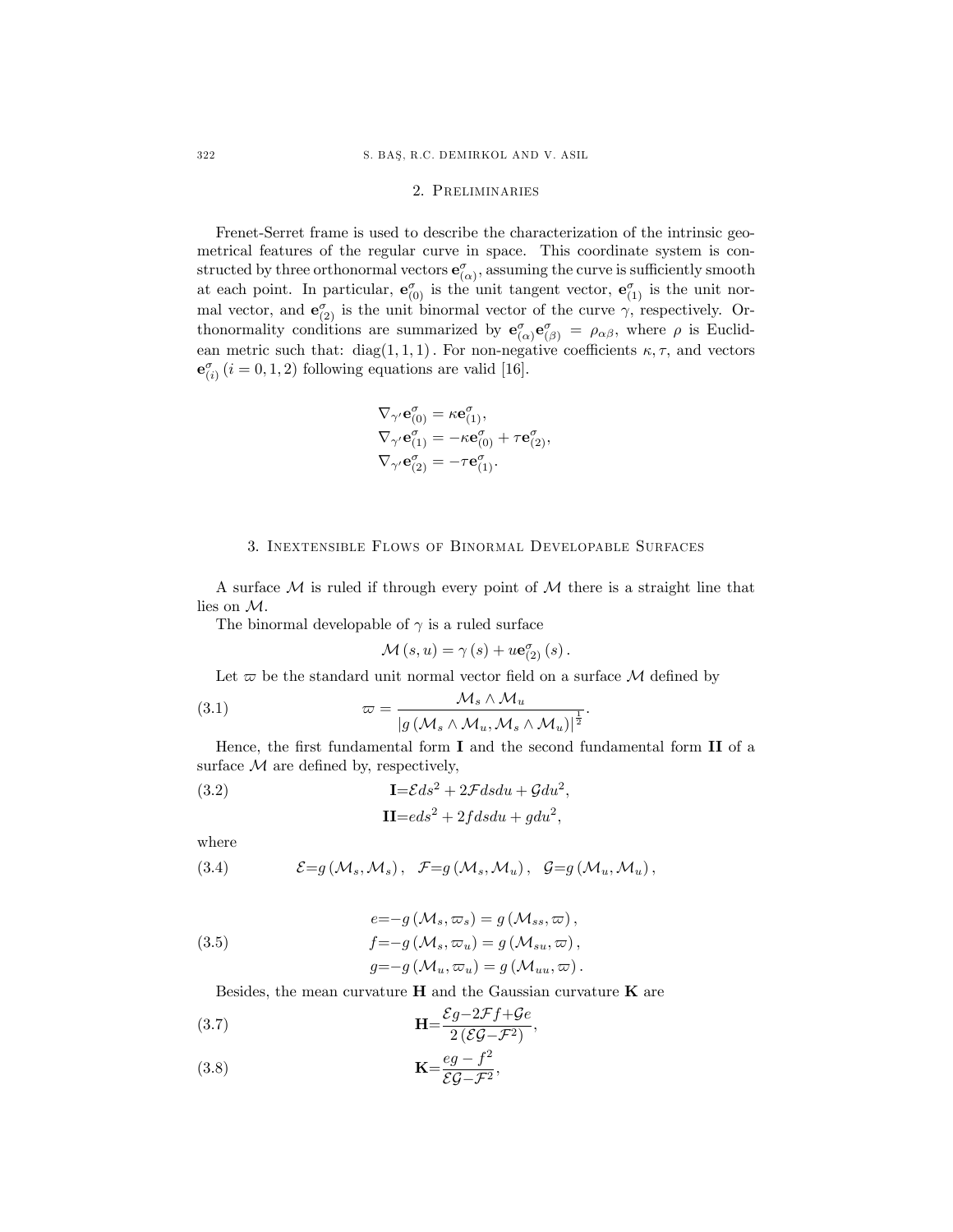# 2. Preliminaries

Frenet-Serret frame is used to describe the characterization of the intrinsic geometrical features of the regular curve in space. This coordinate system is constructed by three orthonormal vectors  $\mathbf{e}^{\sigma}_{(\alpha)}$ , assuming the curve is sufficiently smooth at each point. In particular,  $e_{(0)}^{\sigma}$  is the unit tangent vector,  $e_{(1)}^{\sigma}$  is the unit normal vector, and  $\mathbf{e}_{(2)}^{\sigma}$  is the unit binormal vector of the curve  $\gamma$ , respectively. Orthonormality conditions are summarized by  $e^{\sigma}_{(\alpha)}e^{\sigma}_{(\beta)} = \rho_{\alpha\beta}$ , where  $\rho$  is Euclidean metric such that: diag(1,1,1). For non-negative coefficients  $\kappa$ ,  $\tau$ , and vectors  $\mathbf{e}_{(i)}^{\sigma}$   $(i = 0, 1, 2)$  following equations are valid [16].

$$
\nabla_{\gamma'} \mathbf{e}_{(0)}^{\sigma} = \kappa \mathbf{e}_{(1)}^{\sigma},
$$
  
\n
$$
\nabla_{\gamma'} \mathbf{e}_{(1)}^{\sigma} = -\kappa \mathbf{e}_{(0)}^{\sigma} + \tau \mathbf{e}_{(2)}^{\sigma},
$$
  
\n
$$
\nabla_{\gamma'} \mathbf{e}_{(2)}^{\sigma} = -\tau \mathbf{e}_{(1)}^{\sigma}.
$$

# 3. Inextensible Flows of Binormal Developable Surfaces

A surface  $M$  is ruled if through every point of  $M$  there is a straight line that lies on M.

The binormal developable of  $\gamma$  is a ruled surface

$$
\mathcal{M}(s, u) = \gamma(s) + u \mathbf{e}_{(2)}^{\sigma}(s).
$$

Let  $\varpi$  be the standard unit normal vector field on a surface  $\mathcal M$  defined by

(3.1) 
$$
\varpi = \frac{\mathcal{M}_s \wedge \mathcal{M}_u}{|g(\mathcal{M}_s \wedge \mathcal{M}_u, \mathcal{M}_s \wedge \mathcal{M}_u)|^{\frac{1}{2}}}.
$$

Hence, the first fundamental form  $I$  and the second fundamental form  $II$  of a surface  $M$  are defined by, respectively,

(3.2) 
$$
\mathbf{I} = \mathcal{E}ds^2 + 2\mathcal{F}dsdu + \mathcal{G}du^2,
$$

$$
\mathbf{II} = eds^2 + 2fdsdu + gdu^2,
$$

where

(3.4) 
$$
\mathcal{E}=g(\mathcal{M}_s,\mathcal{M}_s), \mathcal{F}=g(\mathcal{M}_s,\mathcal{M}_u), \mathcal{G}=g(\mathcal{M}_u,\mathcal{M}_u),
$$

(3.5)  
\n
$$
e=-g(\mathcal{M}_s, \varpi_s) = g(\mathcal{M}_{ss}, \varpi),
$$
\n
$$
f=-g(\mathcal{M}_s, \varpi_u) = g(\mathcal{M}_{su}, \varpi),
$$
\n
$$
g=-g(\mathcal{M}_u, \varpi_u) = g(\mathcal{M}_{uu}, \varpi).
$$

Besides, the mean curvature  $H$  and the Gaussian curvature  $K$  are

(3.7) 
$$
\mathbf{H} = \frac{\mathcal{E}g - 2\mathcal{F}f + \mathcal{G}e}{2(\mathcal{E}\mathcal{G} - \mathcal{F}^2)},
$$

$$
\mathbf{K} = \frac{eg - f^2}{\mathcal{E}\mathcal{G} - \mathcal{F}^2},
$$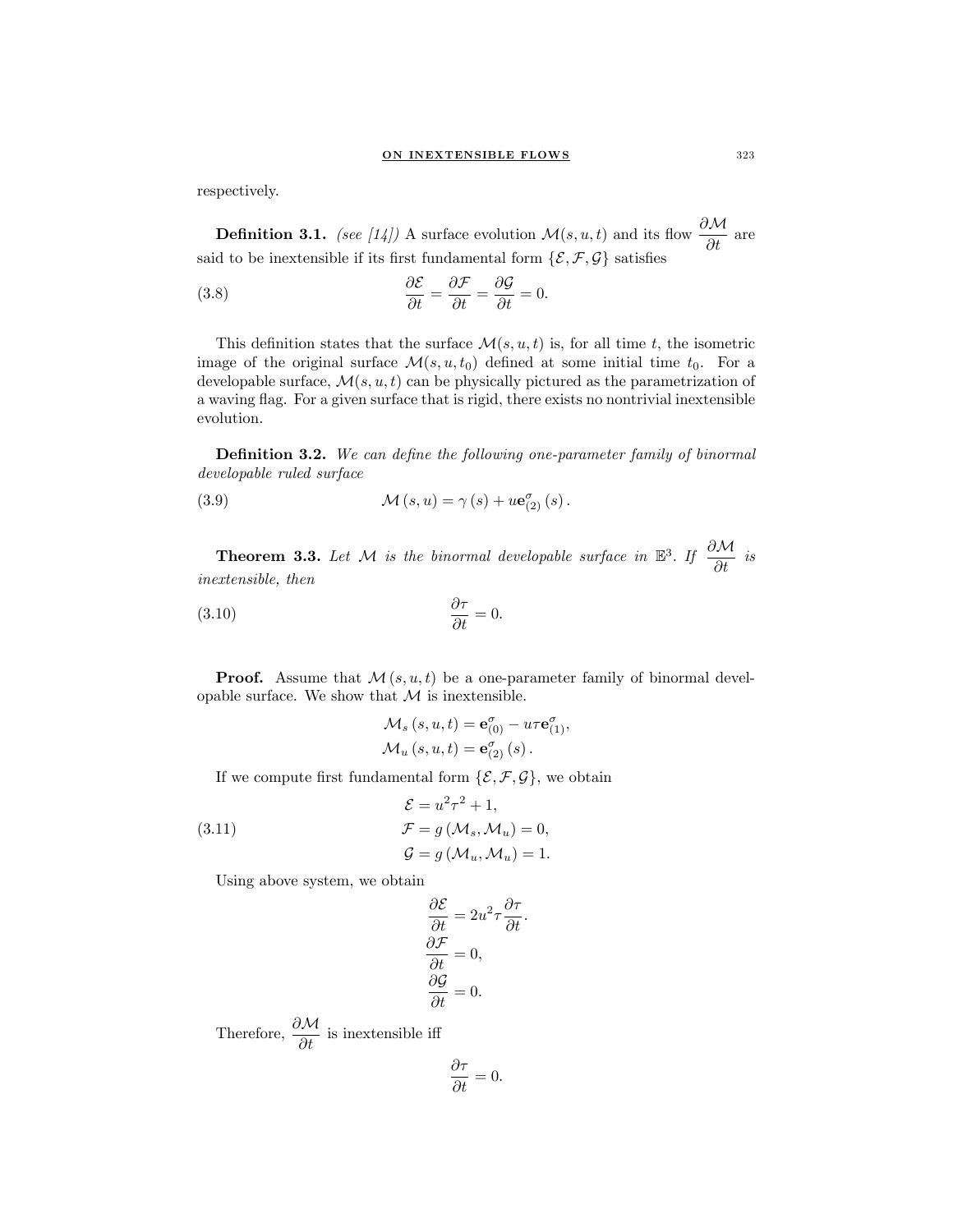respectively.

**Definition 3.1.** (see [14]) A surface evolution  $\mathcal{M}(s, u, t)$  and its flow  $\frac{\partial \mathcal{M}}{\partial t}$  are said to be inextensible if its first fundamental form  $\{\mathcal{E},\mathcal{F},\mathcal{G}\}$  satisfies

(3.8) 
$$
\frac{\partial \mathcal{E}}{\partial t} = \frac{\partial \mathcal{F}}{\partial t} = \frac{\partial \mathcal{G}}{\partial t} = 0.
$$

This definition states that the surface  $\mathcal{M}(s, u, t)$  is, for all time t, the isometric image of the original surface  $\mathcal{M}(s, u, t_0)$  defined at some initial time  $t_0$ . For a developable surface,  $\mathcal{M}(s, u, t)$  can be physically pictured as the parametrization of a waving flag. For a given surface that is rigid, there exists no nontrivial inextensible evolution.

**Definition 3.2.** We can define the following one-parameter family of binormal developable ruled surface

(3.9) 
$$
\mathcal{M}(s, u) = \gamma(s) + u \mathbf{e}_{(2)}^{\sigma}(s).
$$

**Theorem 3.3.** Let M is the binormal developable surface in  $\mathbb{E}^3$ . If  $\frac{\partial \mathcal{M}}{\partial t}$  is inextensible, then

$$
\frac{\partial \tau}{\partial t} = 0.
$$

**Proof.** Assume that  $\mathcal{M}(s, u, t)$  be a one-parameter family of binormal developable surface. We show that  $M$  is inextensible.

$$
\mathcal{M}_s(s, u, t) = \mathbf{e}_{(0)}^{\sigma} - u\tau \mathbf{e}_{(1)}^{\sigma}, \mathcal{M}_u(s, u, t) = \mathbf{e}_{(2)}^{\sigma}(s).
$$

If we compute first fundamental form  $\{\mathcal{E}, \mathcal{F}, \mathcal{G}\}\$ , we obtain

(3.11) 
$$
\mathcal{E} = u^2 \tau^2 + 1,
$$

$$
\mathcal{F} = g(\mathcal{M}_s, \mathcal{M}_u) = 0,
$$

$$
\mathcal{G} = g(\mathcal{M}_u, \mathcal{M}_u) = 1.
$$

Using above system, we obtain

$$
\frac{\partial \mathcal{E}}{\partial t} = 2u^2 \tau \frac{\partial \tau}{\partial t}.
$$

$$
\frac{\partial \mathcal{F}}{\partial t} = 0,
$$

$$
\frac{\partial \mathcal{G}}{\partial t} = 0.
$$

Therefore,  $\frac{\partial \mathcal{M}}{\partial t}$  is inextensible iff

$$
\frac{\partial \tau}{\partial t} = 0.
$$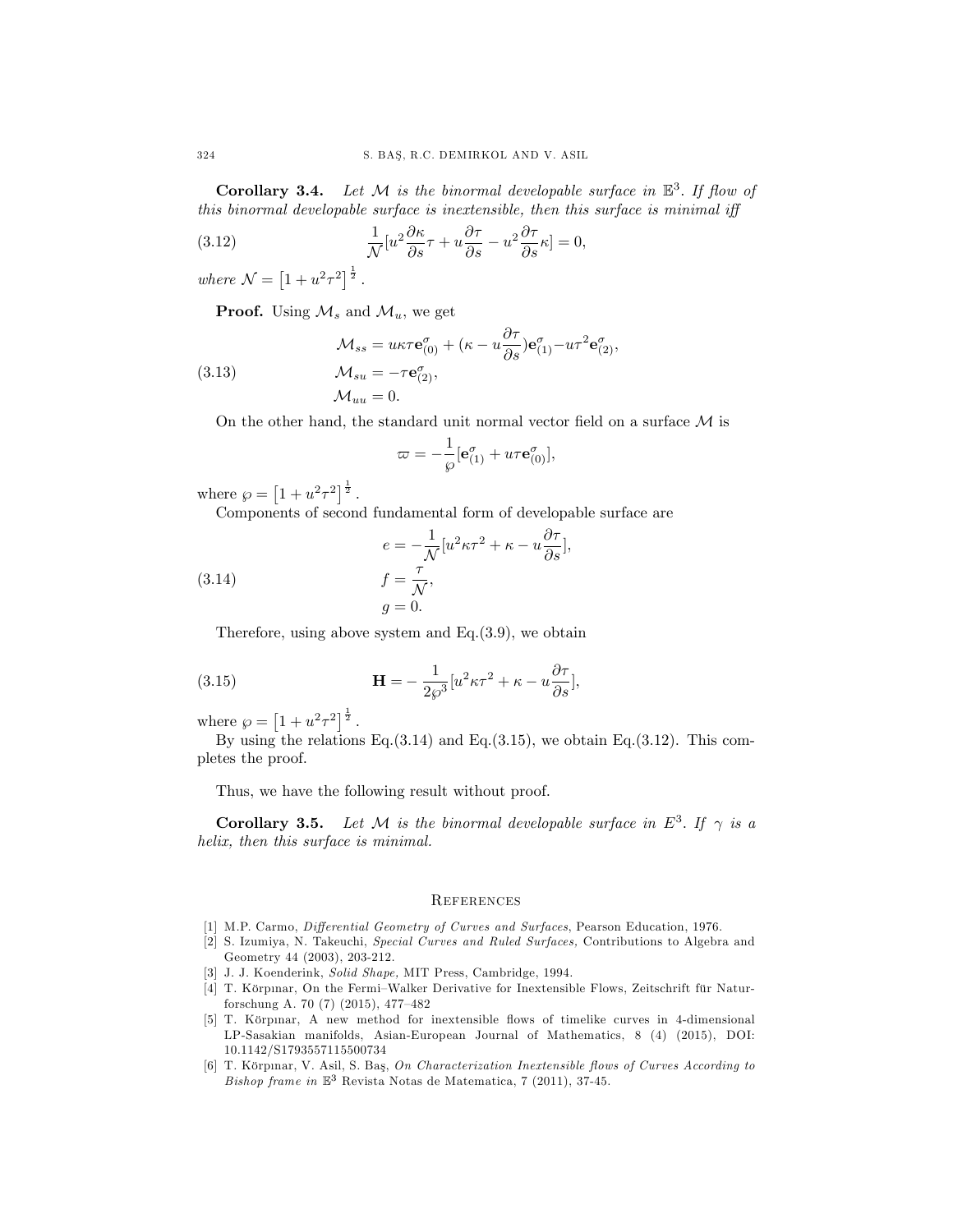**Corollary 3.4.** Let  $M$  is the binormal developable surface in  $\mathbb{E}^3$ . If flow of this binormal developable surface is inextensible, then this surface is minimal iff

(3.12) 
$$
\frac{1}{\mathcal{N}}[u^2 \frac{\partial \kappa}{\partial s} \tau + u \frac{\partial \tau}{\partial s} - u^2 \frac{\partial \tau}{\partial s} \kappa] = 0,
$$

where  $N = [1 + u^2 \tau^2]^{\frac{1}{2}}$ .

**Proof.** Using  $\mathcal{M}_s$  and  $\mathcal{M}_u$ , we get

(3.13) 
$$
\mathcal{M}_{ss} = u\kappa\tau \mathbf{e}_{(0)}^{\sigma} + (\kappa - u\frac{\partial\tau}{\partial s})\mathbf{e}_{(1)}^{\sigma} - u\tau^{2}\mathbf{e}_{(2)}^{\sigma},
$$

$$
\mathcal{M}_{su} = -\tau \mathbf{e}_{(2)}^{\sigma},
$$

$$
\mathcal{M}_{uu} = 0.
$$

On the other hand, the standard unit normal vector field on a surface  $\mathcal M$  is

$$
\varpi=-\frac{1}{\wp}[\mathbf{e}^\sigma_{(1)}+u\tau\mathbf{e}^\sigma_{(0)}],
$$

where  $\wp = [1 + u^2 \tau^2]^{\frac{1}{2}}$ .

Components of second fundamental form of developable surface are

(3.14) 
$$
e = -\frac{1}{\mathcal{N}} [u^2 \kappa \tau^2 + \kappa - u \frac{\partial \tau}{\partial s}],
$$

$$
f = \frac{\tau}{\mathcal{N}},
$$

$$
g = 0.
$$

Therefore, using above system and  $Eq.(3.9)$ , we obtain

(3.15) 
$$
\mathbf{H} = -\frac{1}{2\wp^3} [u^2 \kappa \tau^2 + \kappa - u \frac{\partial \tau}{\partial s}],
$$

where  $\wp = [1 + u^2 \tau^2]^{\frac{1}{2}}$ .

By using the relations Eq.(3.14) and Eq.(3.15), we obtain Eq.(3.12). This completes the proof.

Thus, we have the following result without proof.

**Corollary 3.5.** Let M is the binormal developable surface in  $E^3$ . If  $\gamma$  is a helix, then this surface is minimal.

## **REFERENCES**

- [1] M.P. Carmo, Differential Geometry of Curves and Surfaces, Pearson Education, 1976.
- [2] S. Izumiya, N. Takeuchi, Special Curves and Ruled Surfaces, Contributions to Algebra and Geometry 44 (2003), 203-212.
- [3] J. J. Koenderink, Solid Shape, MIT Press, Cambridge, 1994.
- [4] T. Körpinar, On the Fermi–Walker Derivative for Inextensible Flows, Zeitschrift für Naturforschung A. 70 (7) (2015), 477-482
- [5] T. Körpnar, A new method for inextensible flows of timelike curves in 4-dimensional LP-Sasakian manifolds, Asian-European Journal of Mathematics, 8 (4) (2015), DOI: 10.1142/S1793557115500734
- [6] T. Körpınar, V. Asil, S. Baş, On Characterization Inextensible flows of Curves According to Bishop frame in  $\mathbb{E}^3$  Revista Notas de Matematica, 7 (2011), 37-45.